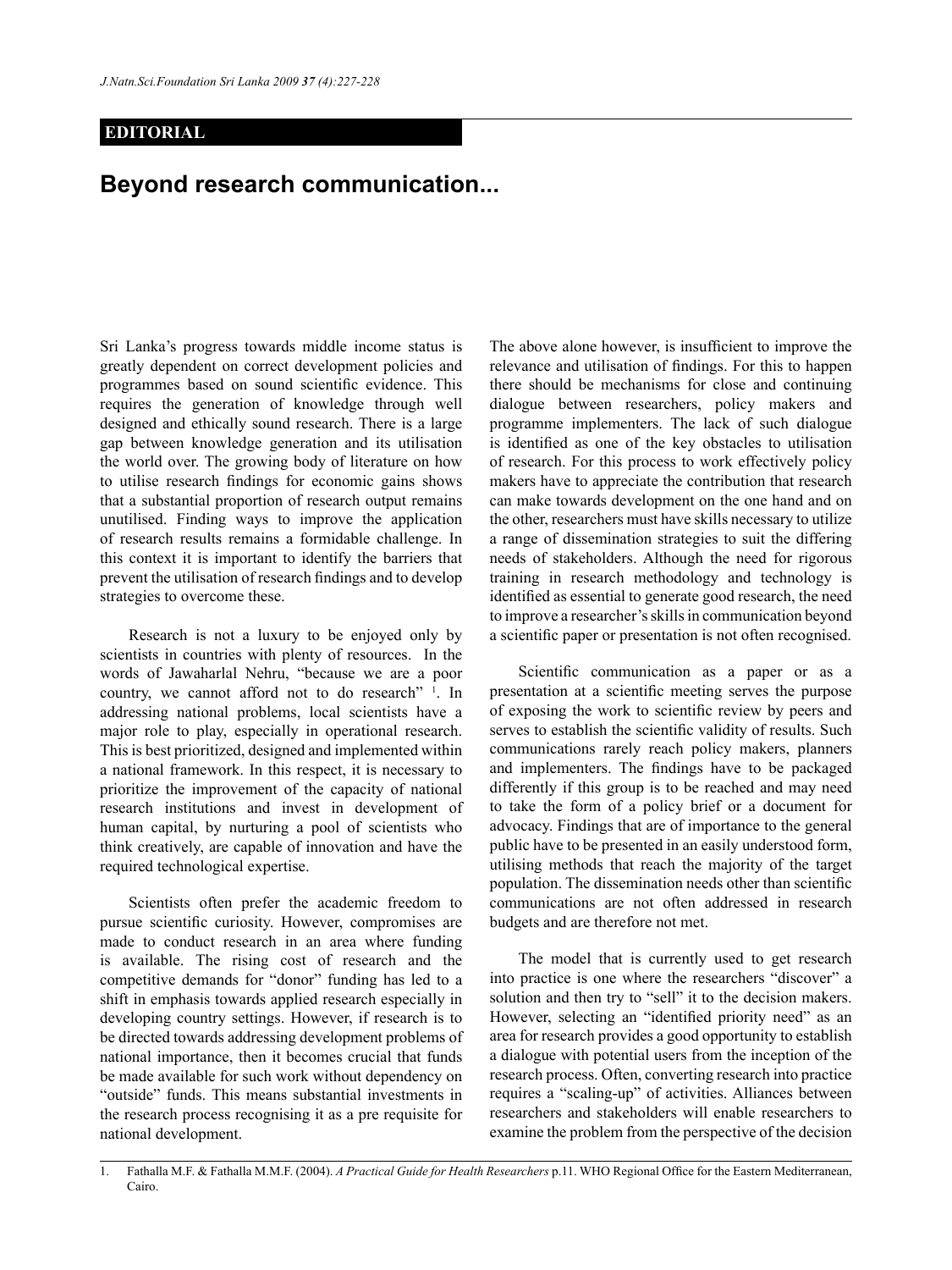## **EDITORIAL**

## **Beyond research communication...**

Sri Lanka's progress towards middle income status is greatly dependent on correct development policies and programmes based on sound scientific evidence. This requires the generation of knowledge through well designed and ethically sound research. There is a large gap between knowledge generation and its utilisation the world over. The growing body of literature on how to utilise research findings for economic gains shows that a substantial proportion of research output remains unutilised. Finding ways to improve the application of research results remains a formidable challenge. In this context it is important to identify the barriers that prevent the utilisation of research findings and to develop strategies to overcome these.

Research is not a luxury to be enjoyed only by scientists in countries with plenty of resources. In the words of Jawaharlal Nehru, "because we are a poor country, we cannot afford not to do research" <sup>1</sup>. In addressing national problems, local scientists have a major role to play, especially in operational research. This is best prioritized, designed and implemented within a national framework. In this respect, it is necessary to prioritize the improvement of the capacity of national research institutions and invest in development of human capital, by nurturing a pool of scientists who think creatively, are capable of innovation and have the required technological expertise.

Scientists often prefer the academic freedom to pursue scientific curiosity. However, compromises are made to conduct research in an area where funding is available. The rising cost of research and the competitive demands for "donor" funding has led to a shift in emphasis towards applied research especially in developing country settings. However, if research is to be directed towards addressing development problems of national importance, then it becomes crucial that funds be made available for such work without dependency on "outside" funds. This means substantial investments in the research process recognising it as a pre requisite for national development.

The above alone however, is insufficient to improve the relevance and utilisation of findings. For this to happen there should be mechanisms for close and continuing dialogue between researchers, policy makers and programme implementers. The lack of such dialogue is identified as one of the key obstacles to utilisation of research. For this process to work effectively policy makers have to appreciate the contribution that research can make towards development on the one hand and on the other, researchers must have skills necessary to utilize a range of dissemination strategies to suit the differing needs of stakeholders. Although the need for rigorous training in research methodology and technology is identified as essential to generate good research, the need to improve a researcher's skills in communication beyond a scientific paper or presentation is not often recognised.

Scientific communication as a paper or as a presentation at a scientific meeting serves the purpose of exposing the work to scientific review by peers and serves to establish the scientific validity of results. Such communications rarely reach policy makers, planners and implementers. The findings have to be packaged differently if this group is to be reached and may need to take the form of a policy brief or a document for advocacy. Findings that are of importance to the general public have to be presented in an easily understood form, utilising methods that reach the majority of the target population. The dissemination needs other than scientific communications are not often addressed in research budgets and are therefore not met.

The model that is currently used to get research into practice is one where the researchers "discover" a solution and then try to "sell" it to the decision makers. However, selecting an "identified priority need" as an area for research provides a good opportunity to establish a dialogue with potential users from the inception of the research process. Often, converting research into practice requires a "scaling-up" of activities. Alliances between researchers and stakeholders will enable researchers to examine the problem from the perspective of the decision

<sup>1.</sup> Fathalla M.F. & Fathalla M.M.F. (2004). *A Practical Guide for Health Researchers* p.11. WHO Regional Office for the Eastern Mediterranean, Cairo.